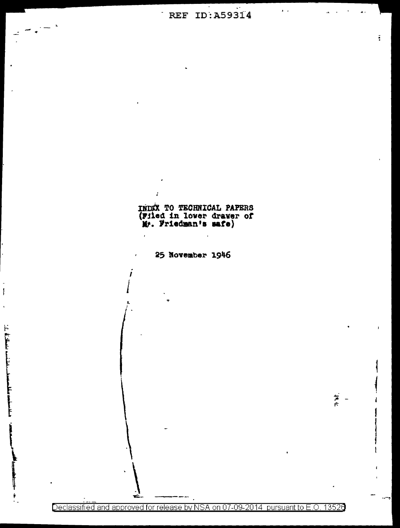## REF ID: A59314

 $\bar{z}$  ,

ă.

INDEX TO TECHNICAL PAPERS<br>(Filed in lower drawer of<br>Mr. Friedman's safe)

25 November 1946

Į

 $\label{eq:2.1} \begin{split} \mathcal{L}_{\text{max}} = \mathcal{L}_{\text{max}} = \mathcal{L}_{\text{max}} = \mathcal{L}_{\text{max}} = \mathcal{L}_{\text{max}} = \mathcal{L}_{\text{max}} = \mathcal{L}_{\text{max}} = \mathcal{L}_{\text{max}} = \mathcal{L}_{\text{max}} = \mathcal{L}_{\text{max}} = \mathcal{L}_{\text{max}} = \mathcal{L}_{\text{max}} = \mathcal{L}_{\text{max}} = \mathcal{L}_{\text{max}} = \mathcal{L}_{\text{max}} = \mathcal{L}_{\text{max}} = \mathcal{L}_{\text{max}} = \math$ 

 $\frac{1}{\sigma_{\rm c}} =$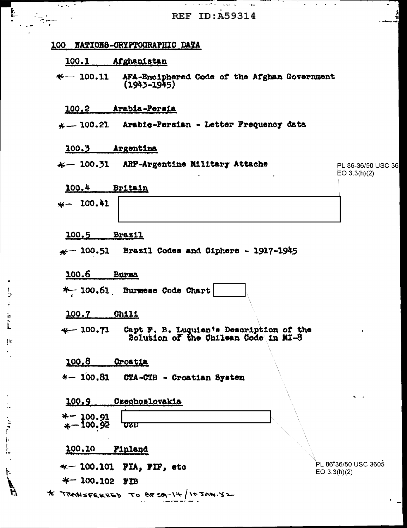|                                | and a series of the company of<br>ka ka Pr<br>$\sim 100$<br><b>REF ID: A59314</b>             |                                      |
|--------------------------------|-----------------------------------------------------------------------------------------------|--------------------------------------|
|                                | 100 NATIONS-CRYPTOGRAPHIC DATA                                                                |                                      |
|                                | 100.1 Afghanistan                                                                             |                                      |
|                                | $*$ 100.11 AFA-Enciphered Code of the Afghan Government<br>$(1943 - 1945)$                    |                                      |
|                                | Arabia-Persia<br><u>100.2</u>                                                                 |                                      |
|                                | $x = 100.21$ Arabic-Persian - Letter Frequency data                                           |                                      |
|                                | 100.3 Argentina                                                                               |                                      |
|                                | $\kappa$ 100.31 ARF-Argentine Military Attache                                                | PL 86-36/50 USC 36<br>EO 3.3(h)(2)   |
|                                | 100.4<br>Britain                                                                              |                                      |
|                                | $* - 100.41$                                                                                  |                                      |
|                                | 200.5<br><b>Brazil</b>                                                                        |                                      |
|                                | $*$ 100.51 Brazil Codes and Ciphers - 1917-1945                                               |                                      |
|                                | 100.6<br><b>Burna</b>                                                                         |                                      |
| $\overline{\phantom{a}}$<br>U. | *- 100.61 Burmese Code Chart                                                                  |                                      |
|                                | <u> 100.7</u><br><b>Chili</b>                                                                 |                                      |
| $\vert$ :                      | $+-100.71$<br>Capt F. B. Luquien's Description of the<br>Solution of the Chilean Code in MI-8 |                                      |
|                                | 100.8<br><b>Oroatia</b>                                                                       |                                      |
|                                | $* - 100.81$<br>CTA-CTB - Croatian System                                                     |                                      |
|                                | Czechoslovakia<br>100.9                                                                       | z.                                   |
|                                | $*-100.91$                                                                                    |                                      |
| $\frac{1}{2}$                  | $* - 100.92$<br><b>UZD</b>                                                                    |                                      |
| $\frac{1}{1}$                  | 100.10<br>Finland                                                                             |                                      |
|                                | $\mathcal{H}$ 100.101 FIA, FIF, etc                                                           | PL 86*36/50 USC 3605<br>EO 3.3(h)(2) |
| $\mathfrak{c}$                 | $*$ 100.102 FIB                                                                               |                                      |
| $\vec{\mathcal{F}}$            | * TRANSFERRED TO BESQ-14/1030N.52                                                             |                                      |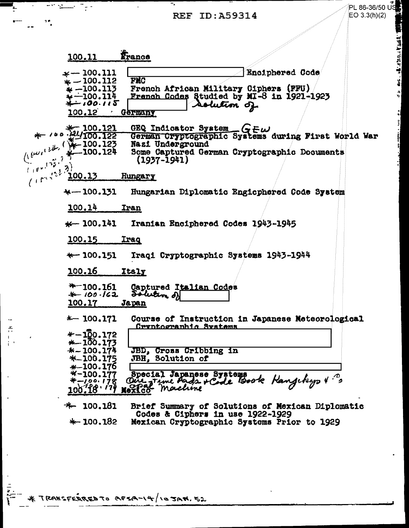Ļ

 $\sim$  $\frac{\sqrt{N_{\rm s}}}{1-\delta}$  $\frac{1}{4}$  .

 $\mathbf{r}$ 

 $\bar{t}$ 

 $\bar{z}$ 

 $\frac{1}{2}$ 

| $\overline{m}$ , $\overline{m}$ , $\overline{m}$ , $\overline{m}$ | PL 86-36/50 $\vec{U}$                                                                      |
|-------------------------------------------------------------------|--------------------------------------------------------------------------------------------|
| 1 P                                                               | EO 3.3(h)(2)<br><b>REF ID: A59314</b>                                                      |
|                                                                   |                                                                                            |
|                                                                   |                                                                                            |
| 100.11                                                            | France                                                                                     |
|                                                                   |                                                                                            |
| $\ast -100.111$<br>$* - 100.112$                                  | Enciphered Code<br><b>FMC</b>                                                              |
| $\dot{\ast} - 100.113$                                            | French African Military Ciphers (FFU)                                                      |
| $* - 100.114$<br>*-100.115                                        | French Codes Studied by MI-8 in 1921-1923<br>solution of                                   |
| 100.12                                                            | <b>Germany</b>                                                                             |
|                                                                   |                                                                                            |
|                                                                   | GEQ Indicator System $G \in \omega$<br>German Cryptographic Systems during First World War |
|                                                                   | Nazi Underground                                                                           |
| $(100.12)$                                                        | Some Captured German Cryptographic Documents<br>$(1937 - 1941)$                            |
|                                                                   |                                                                                            |
| Cornel 23<br><u> 100.13</u>                                       | Hungary                                                                                    |
| $+-100.131$                                                       | Hungarian Diplomatic Engicphered Code System                                               |
| 100.14                                                            | Iran                                                                                       |
|                                                                   |                                                                                            |
| $\star$ 100.141                                                   | Iranian Enciphered Codes 1943-1945                                                         |
| 100.15                                                            | <b>Iraq</b>                                                                                |
| $*-100.151$                                                       | Iraqi Cryptographic Systems 1943-1944                                                      |
|                                                                   |                                                                                            |
| 100.16                                                            | <b>Italy</b>                                                                               |
| $*$ 100.161                                                       | Captured Italian Codes                                                                     |
| $* - 100.162$                                                     | Solution of                                                                                |
| <u> 100.17</u>                                                    | <u>Japan</u>                                                                               |
| $*-100.171$                                                       | Course of Instruction in Japanese Meteorological<br>Cryptographic Systems                  |
| $* - 100.172$                                                     |                                                                                            |
| $*-100.173$                                                       |                                                                                            |
| $* - 100.174$<br>$* - 100.175$                                    | JBD, Cross Cribbing in<br>JBH, Solution of                                                 |
| $* - 100.176$                                                     |                                                                                            |
| $* - 100.177$                                                     | Special Japanese Systems                                                                   |
| *-100.178                                                         | Oire time Pads rédé Book Hangeburg V?<br>100.18 179 Noxfco machine                         |
|                                                                   |                                                                                            |
| $+ 100.181$                                                       | Brief Summary of Solutions of Mexican Diplomatic<br>Codes & Ciphers in use 1922-1929       |

+ 100.182 Mexican Cryptographic Systems Prior to 1929

\* TRANSFERRED TO AFSA-14/10 JAM. 52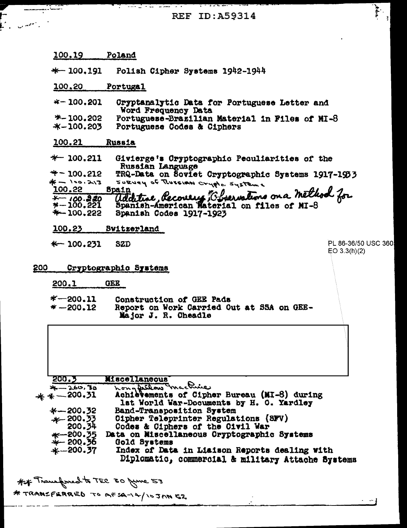**REF ID:A59314** 

<u>тр</u>

F.

<u> 111 - 1</u>11 - 111

| 100.19                      | Poland                                                                                       |                                     |
|-----------------------------|----------------------------------------------------------------------------------------------|-------------------------------------|
| $*-100,191$                 | Polish Cipher Systems 1942-1944                                                              |                                     |
| 100.20                      | Portugal                                                                                     |                                     |
| $*-100.201$                 | Cryptanalytic Data for Portuguese Letter and<br>Word Frequency Data                          |                                     |
| *-100.202<br>$* - 100.203$  | Portuguese-Brazilian Material in Files of MI-8<br>Portuguese Codes & Ciphers                 |                                     |
| 100.21                      | <b>Russia</b>                                                                                |                                     |
| $*$ 100.211                 | Givierge's Cryptographic Peculiarities of the<br>Russian Language                            |                                     |
| $*$ – 100.212               | TRQ-Data on Soviet Cryptographic Systems 1917-1953                                           |                                     |
| 米 - 100.213<br>100.22       | SURVEY OF RUSSIAN Crypto. Systems<br>Spain                                                   |                                     |
| $*-100.220$                 | am<br>Uddetine, Recovery Ebservations on a method for                                        |                                     |
| *-100.221<br>$*-100.222$    | Spanish Codes 1917-1923                                                                      |                                     |
|                             |                                                                                              |                                     |
| 100.23                      | Switzerland                                                                                  |                                     |
| $\ast$ 100.231              | <b>SZD</b>                                                                                   | PL 86-36/50 USC 360<br>EO 3.3(h)(2) |
| 200                         | Cryptographic Systems                                                                        |                                     |
| 200.1                       | <b>GEE</b>                                                                                   |                                     |
| $*$ -200.11<br>$* - 200.12$ | Construction of GEE Pads<br>Report on Work Carried Out at SSA on GEE-<br>Major J. R. Cheadle |                                     |
|                             |                                                                                              |                                     |
|                             |                                                                                              |                                     |
| 200.3                       | Miscellaneous                                                                                |                                     |
| $x - 260, 30$               | hong feelow mackine                                                                          |                                     |
| $* * -200.31$               | Achievements of Cipher Bureau (MI-8) during<br>lst World War-Documents by H. O. Yardley      |                                     |
| $* - 200.32$                | Band-Transposition System                                                                    |                                     |
| $+200.33$<br>200.34         | Oipher Teleprinter Regulations (SFV)<br>Codes & Ciphers of the Civil War                     |                                     |
| ——200.35                    | Data on Miscellaneous Cryptographic Systems                                                  |                                     |
| $*-200.36$<br>$* - 200.37$  | Gold Systems<br>Index of Data in Liaison Reports dealing with                                |                                     |

## Transfored to TEC 50 give = 5<br>\* TRANSFERRED TO AFSA-14/10JANEZ

 $\cdot$   $-1$ 

 $\begin{bmatrix} 1 & 0 & 0 \\ 0 & 0 & 0 \\ 0 & 0 & 0 \end{bmatrix}$